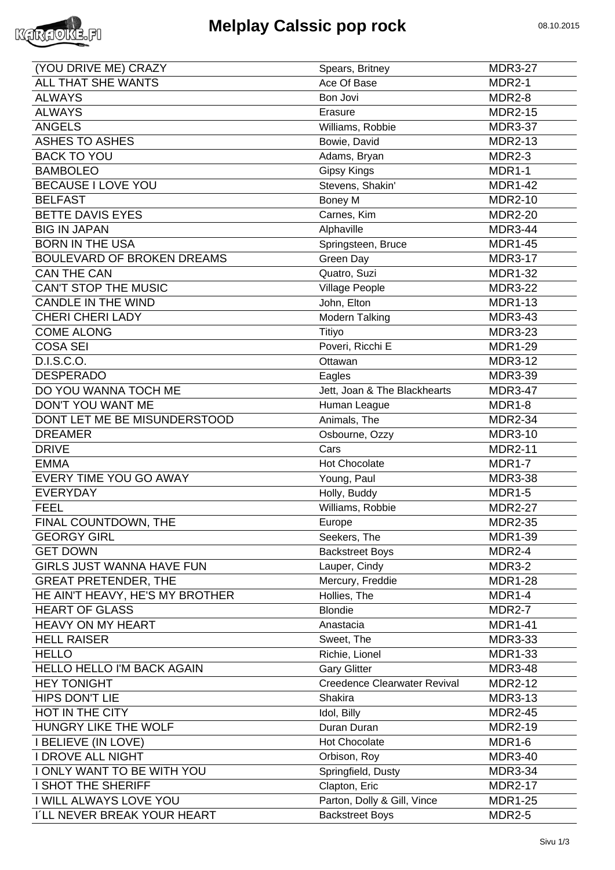

## **Melplay Calssic pop rock** 08.10.2015

| <b>ALL THAT SHE WANTS</b><br><b>MDR2-1</b><br>Ace Of Base                   |  |
|-----------------------------------------------------------------------------|--|
| <b>ALWAYS</b><br>MDR2-8<br>Bon Jovi                                         |  |
| <b>ALWAYS</b><br><b>MDR2-15</b><br>Erasure                                  |  |
| <b>ANGELS</b><br>Williams, Robbie<br><b>MDR3-37</b>                         |  |
| <b>ASHES TO ASHES</b><br>Bowie, David<br><b>MDR2-13</b>                     |  |
| <b>BACK TO YOU</b><br>Adams, Bryan<br>MDR2-3                                |  |
| <b>BAMBOLEO</b><br><b>Gipsy Kings</b><br><b>MDR1-1</b>                      |  |
| Stevens, Shakin'<br>BECAUSE I LOVE YOU<br><b>MDR1-42</b>                    |  |
| <b>BELFAST</b><br>Boney M<br><b>MDR2-10</b>                                 |  |
| BETTE DAVIS EYES<br>Carnes, Kim<br><b>MDR2-20</b>                           |  |
| <b>BIG IN JAPAN</b><br><b>MDR3-44</b><br>Alphaville                         |  |
| <b>BORN IN THE USA</b><br>Springsteen, Bruce<br><b>MDR1-45</b>              |  |
| <b>BOULEVARD OF BROKEN DREAMS</b><br>Green Day<br><b>MDR3-17</b>            |  |
| <b>CAN THE CAN</b><br>Quatro, Suzi<br><b>MDR1-32</b>                        |  |
| <b>CAN'T STOP THE MUSIC</b><br><b>Village People</b><br><b>MDR3-22</b>      |  |
| <b>CANDLE IN THE WIND</b><br>John, Elton<br><b>MDR1-13</b>                  |  |
| <b>CHERI CHERI LADY</b><br><b>Modern Talking</b><br><b>MDR3-43</b>          |  |
| <b>COME ALONG</b><br><b>MDR3-23</b><br>Titiyo                               |  |
| Poveri, Ricchi E<br><b>COSA SEI</b><br><b>MDR1-29</b>                       |  |
| D.I.S.C.O.<br><b>MDR3-12</b><br>Ottawan                                     |  |
| <b>DESPERADO</b><br><b>MDR3-39</b><br>Eagles                                |  |
| DO YOU WANNA TOCH ME<br><b>MDR3-47</b><br>Jett, Joan & The Blackhearts      |  |
| DON'T YOU WANT ME<br>Human League<br>MDR1-8                                 |  |
| Animals, The<br>DONT LET ME BE MISUNDERSTOOD<br><b>MDR2-34</b>              |  |
| <b>DREAMER</b><br>Osbourne, Ozzy<br><b>MDR3-10</b>                          |  |
| <b>DRIVE</b><br><b>MDR2-11</b><br>Cars                                      |  |
| <b>EMMA</b><br>MDR1-7<br>Hot Chocolate                                      |  |
| EVERY TIME YOU GO AWAY<br>Young, Paul<br><b>MDR3-38</b>                     |  |
| Holly, Buddy<br><b>EVERYDAY</b><br><b>MDR1-5</b>                            |  |
| Williams, Robbie<br><b>FEEL</b><br><b>MDR2-27</b>                           |  |
| FINAL COUNTDOWN, THE<br><b>MDR2-35</b><br>Europe                            |  |
| <b>GEORGY GIRL</b><br><b>MDR1-39</b><br>Seekers, The                        |  |
| <b>GET DOWN</b><br>$MDR2-4$<br><b>Backstreet Boys</b>                       |  |
| <b>GIRLS JUST WANNA HAVE FUN</b><br>Lauper, Cindy<br>MDR3-2                 |  |
| Mercury, Freddie<br><b>GREAT PRETENDER, THE</b><br><b>MDR1-28</b>           |  |
| HE AIN'T HEAVY, HE'S MY BROTHER<br>Hollies, The<br>MDR1-4                   |  |
| <b>HEART OF GLASS</b><br><b>Blondie</b><br>MDR2-7                           |  |
| <b>HEAVY ON MY HEART</b><br><b>MDR1-41</b><br>Anastacia                     |  |
| <b>HELL RAISER</b><br><b>MDR3-33</b><br>Sweet, The                          |  |
| <b>HELLO</b><br><b>MDR1-33</b><br>Richie, Lionel                            |  |
| <b>HELLO HELLO I'M BACK AGAIN</b><br><b>Gary Glitter</b><br><b>MDR3-48</b>  |  |
| <b>HEY TONIGHT</b><br><b>Creedence Clearwater Revival</b><br><b>MDR2-12</b> |  |
| HIPS DON'T LIE<br><b>MDR3-13</b><br>Shakira                                 |  |
| HOT IN THE CITY<br><b>MDR2-45</b><br>Idol, Billy                            |  |
| HUNGRY LIKE THE WOLF<br>Duran Duran<br><b>MDR2-19</b>                       |  |
| I BELIEVE (IN LOVE)<br>Hot Chocolate<br>MDR1-6                              |  |
| I DROVE ALL NIGHT<br>Orbison, Roy<br><b>MDR3-40</b>                         |  |
| I ONLY WANT TO BE WITH YOU<br>Springfield, Dusty<br><b>MDR3-34</b>          |  |
| I SHOT THE SHERIFF<br>Clapton, Eric<br><b>MDR2-17</b>                       |  |
| Parton, Dolly & Gill, Vince<br>I WILL ALWAYS LOVE YOU<br><b>MDR1-25</b>     |  |
| I'LL NEVER BREAK YOUR HEART<br><b>Backstreet Boys</b><br>MDR2-5             |  |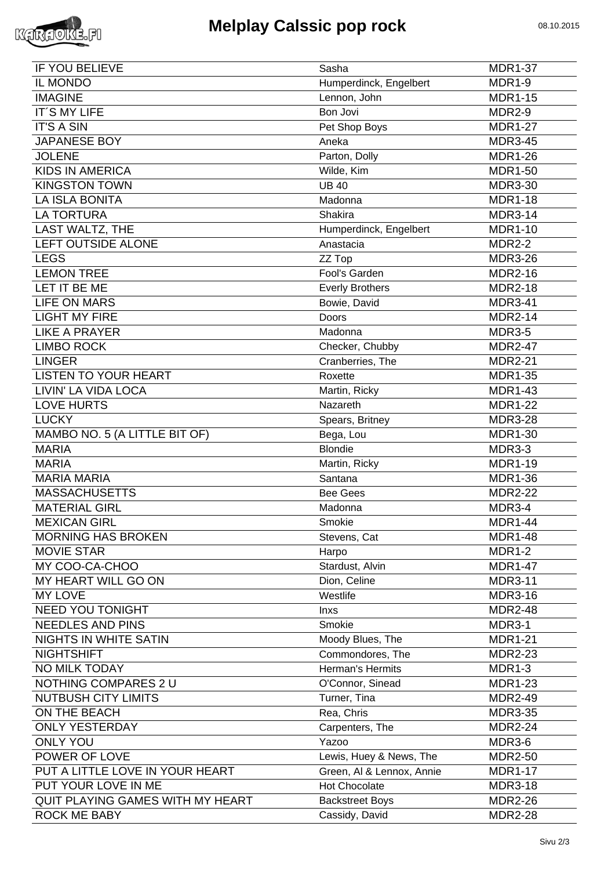

| IF YOU BELIEVE                   | Sasha                     | <b>MDR1-37</b>                   |
|----------------------------------|---------------------------|----------------------------------|
| IL MONDO                         | Humperdinck, Engelbert    | MDR1-9                           |
| <b>IMAGINE</b>                   | Lennon, John              | <b>MDR1-15</b>                   |
| <b>IT'S MY LIFE</b>              | Bon Jovi                  | MDR2-9                           |
| <b>IT'S A SIN</b>                | Pet Shop Boys             | <b>MDR1-27</b>                   |
| <b>JAPANESE BOY</b>              | Aneka                     | <b>MDR3-45</b>                   |
| <b>JOLENE</b>                    | Parton, Dolly             | <b>MDR1-26</b>                   |
| <b>KIDS IN AMERICA</b>           | Wilde, Kim                | <b>MDR1-50</b>                   |
| <b>KINGSTON TOWN</b>             | <b>UB 40</b>              | <b>MDR3-30</b>                   |
| <b>LA ISLA BONITA</b>            | Madonna                   | <b>MDR1-18</b>                   |
| <b>LA TORTURA</b>                | Shakira                   | <b>MDR3-14</b>                   |
| LAST WALTZ, THE                  | Humperdinck, Engelbert    | <b>MDR1-10</b>                   |
| <b>LEFT OUTSIDE ALONE</b>        | Anastacia                 | <b>MDR2-2</b>                    |
| <b>LEGS</b>                      | ZZ Top                    | <b>MDR3-26</b>                   |
| <b>LEMON TREE</b>                | Fool's Garden             | <b>MDR2-16</b>                   |
| LET IT BE ME                     |                           | <b>MDR2-18</b>                   |
| <b>LIFE ON MARS</b>              | <b>Everly Brothers</b>    |                                  |
| <b>LIGHT MY FIRE</b>             | Bowie, David              | <b>MDR3-41</b><br><b>MDR2-14</b> |
|                                  | Doors                     |                                  |
| <b>LIKE A PRAYER</b>             | Madonna                   | MDR3-5                           |
| <b>LIMBO ROCK</b>                | Checker, Chubby           | <b>MDR2-47</b>                   |
| <b>LINGER</b>                    | Cranberries, The          | <b>MDR2-21</b>                   |
| <b>LISTEN TO YOUR HEART</b>      | Roxette                   | <b>MDR1-35</b>                   |
| LIVIN' LA VIDA LOCA              | Martin, Ricky             | <b>MDR1-43</b>                   |
| <b>LOVE HURTS</b>                | Nazareth                  | <b>MDR1-22</b>                   |
| <b>LUCKY</b>                     | Spears, Britney           | <b>MDR3-28</b>                   |
| MAMBO NO. 5 (A LITTLE BIT OF)    | Bega, Lou                 | <b>MDR1-30</b>                   |
| <b>MARIA</b>                     | <b>Blondie</b>            | MDR3-3                           |
| <b>MARIA</b>                     | Martin, Ricky             | <b>MDR1-19</b>                   |
| <b>MARIA MARIA</b>               | Santana                   | <b>MDR1-36</b>                   |
| <b>MASSACHUSETTS</b>             | <b>Bee Gees</b>           | <b>MDR2-22</b>                   |
| <b>MATERIAL GIRL</b>             | Madonna                   | MDR3-4                           |
| <b>MEXICAN GIRL</b>              | Smokie                    | <b>MDR1-44</b>                   |
| <b>MORNING HAS BROKEN</b>        | Stevens, Cat              | <b>MDR1-48</b>                   |
| <b>MOVIE STAR</b>                | Harpo                     | MDR1-2                           |
| MY COO-CA-CHOO                   | Stardust, Alvin           | <b>MDR1-47</b>                   |
| MY HEART WILL GO ON              | Dion, Celine              | <b>MDR3-11</b>                   |
| <b>MY LOVE</b>                   | Westlife                  | <b>MDR3-16</b>                   |
| <b>NEED YOU TONIGHT</b>          | Inxs                      | <b>MDR2-48</b>                   |
| <b>NEEDLES AND PINS</b>          | Smokie                    | MDR3-1                           |
| <b>NIGHTS IN WHITE SATIN</b>     | Moody Blues, The          | <b>MDR1-21</b>                   |
| <b>NIGHTSHIFT</b>                | Commondores, The          | <b>MDR2-23</b>                   |
| NO MILK TODAY                    | Herman's Hermits          | MDR1-3                           |
| NOTHING COMPARES 2 U             | O'Connor, Sinead          | <b>MDR1-23</b>                   |
| <b>NUTBUSH CITY LIMITS</b>       | Turner, Tina              | <b>MDR2-49</b>                   |
| ON THE BEACH                     | Rea, Chris                | <b>MDR3-35</b>                   |
| <b>ONLY YESTERDAY</b>            | Carpenters, The           | <b>MDR2-24</b>                   |
| <b>ONLY YOU</b>                  | Yazoo                     | MDR3-6                           |
| POWER OF LOVE                    | Lewis, Huey & News, The   | <b>MDR2-50</b>                   |
| PUT A LITTLE LOVE IN YOUR HEART  | Green, Al & Lennox, Annie | <b>MDR1-17</b>                   |
| PUT YOUR LOVE IN ME              | Hot Chocolate             | <b>MDR3-18</b>                   |
| QUIT PLAYING GAMES WITH MY HEART | <b>Backstreet Boys</b>    | <b>MDR2-26</b>                   |
| ROCK ME BABY                     | Cassidy, David            | <b>MDR2-28</b>                   |
|                                  |                           |                                  |